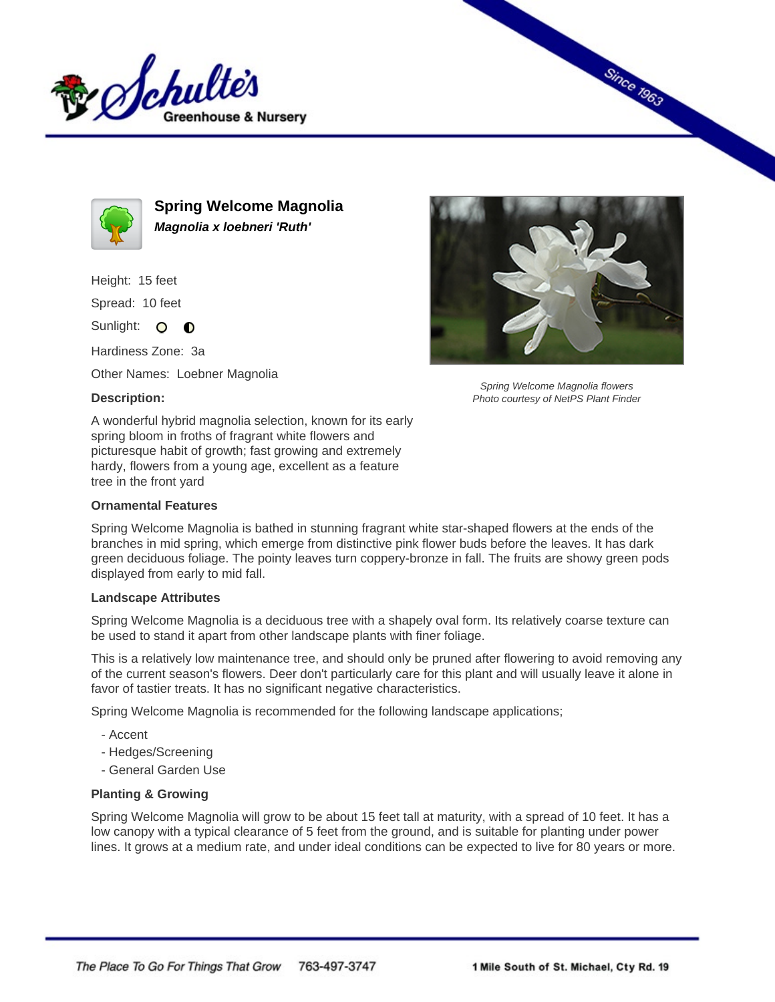



**Spring Welcome Magnolia Magnolia x loebneri 'Ruth'**

Height: 15 feet

Spread: 10 feet

Sunlight: O **O** 

Hardiness Zone: 3a

Other Names: Loebner Magnolia

## **Description:**

Since 1963

Spring Welcome Magnolia flowers Photo courtesy of NetPS Plant Finder

A wonderful hybrid magnolia selection, known for its early spring bloom in froths of fragrant white flowers and picturesque habit of growth; fast growing and extremely hardy, flowers from a young age, excellent as a feature tree in the front yard

## **Ornamental Features**

Spring Welcome Magnolia is bathed in stunning fragrant white star-shaped flowers at the ends of the branches in mid spring, which emerge from distinctive pink flower buds before the leaves. It has dark green deciduous foliage. The pointy leaves turn coppery-bronze in fall. The fruits are showy green pods displayed from early to mid fall.

## **Landscape Attributes**

Spring Welcome Magnolia is a deciduous tree with a shapely oval form. Its relatively coarse texture can be used to stand it apart from other landscape plants with finer foliage.

This is a relatively low maintenance tree, and should only be pruned after flowering to avoid removing any of the current season's flowers. Deer don't particularly care for this plant and will usually leave it alone in favor of tastier treats. It has no significant negative characteristics.

Spring Welcome Magnolia is recommended for the following landscape applications;

- Accent
- Hedges/Screening
- General Garden Use

## **Planting & Growing**

Spring Welcome Magnolia will grow to be about 15 feet tall at maturity, with a spread of 10 feet. It has a low canopy with a typical clearance of 5 feet from the ground, and is suitable for planting under power lines. It grows at a medium rate, and under ideal conditions can be expected to live for 80 years or more.